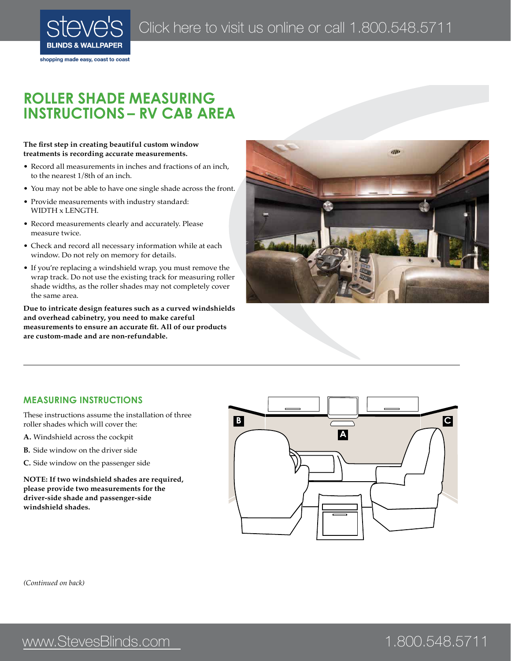

shopping made easy, coast to coast

# **ROLLER SHADE MEASURING instructions – RV CAB AREA**

#### **The first step in creating beautiful custom window treatments is recording accurate measurements.**

- Record all measurements in inches and fractions of an inch, to the nearest 1/8th of an inch.
- You may not be able to have one single shade across the front.
- Provide measurements with industry standard: WIDTH x LENGTH.
- Record measurements clearly and accurately. Please measure twice.
- Check and record all necessary information while at each window. Do not rely on memory for details.
- If you're replacing a windshield wrap, you must remove the wrap track. Do not use the existing track for measuring roller shade widths, as the roller shades may not completely cover the same area.

**Due to intricate design features such as a curved windshields and overhead cabinetry, you need to make careful measurements to ensure an accurate fit. All of our products are custom-made and are non-refundable.**



### **measuring instructions**

These instructions assume the installation of three roller shades which will cover the:

- **A.** Windshield across the cockpit
- **B.** Side window on the driver side
- **C.** Side window on the passenger side

**NOTE: If two windshield shades are required, please provide two measurements for the driver-side shade and passenger-side windshield shades.**



*(Continued on back)*